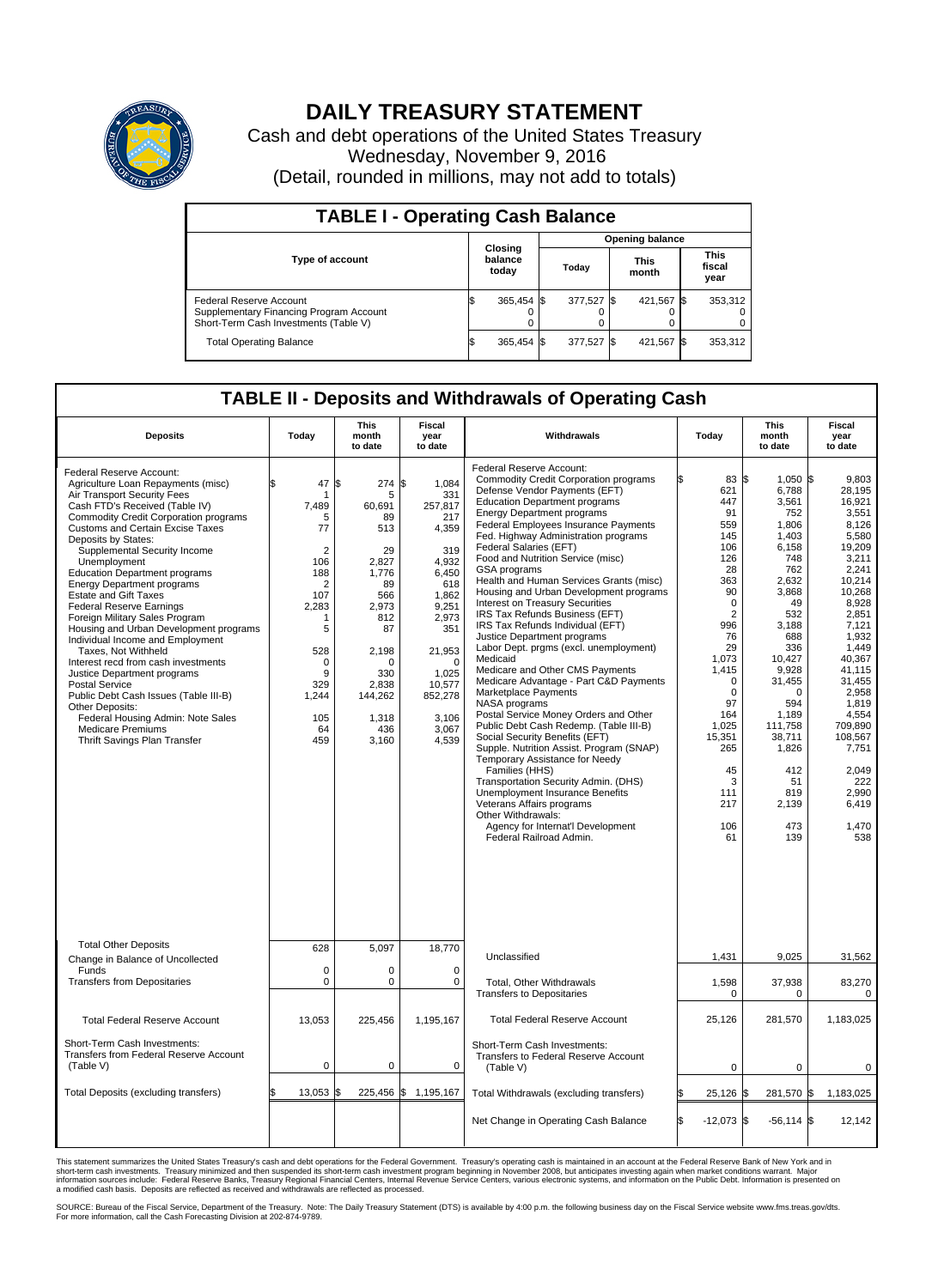

## **DAILY TREASURY STATEMENT**

Cash and debt operations of the United States Treasury Wednesday, November 9, 2016 (Detail, rounded in millions, may not add to totals)

| <b>TABLE I - Operating Cash Balance</b>                                                                     |                             |            |                        |            |                      |            |                               |         |  |  |  |
|-------------------------------------------------------------------------------------------------------------|-----------------------------|------------|------------------------|------------|----------------------|------------|-------------------------------|---------|--|--|--|
|                                                                                                             | Closing<br>balance<br>today |            | <b>Opening balance</b> |            |                      |            |                               |         |  |  |  |
| <b>Type of account</b>                                                                                      |                             |            | Today                  |            | <b>This</b><br>month |            | <b>This</b><br>fiscal<br>year |         |  |  |  |
| Federal Reserve Account<br>Supplementary Financing Program Account<br>Short-Term Cash Investments (Table V) |                             | 365,454 \$ |                        | 377.527 \$ |                      | 421.567 \$ |                               | 353,312 |  |  |  |
| <b>Total Operating Balance</b>                                                                              | ΙФ                          | 365,454 \$ |                        | 377,527 \$ |                      | 421,567 \$ |                               | 353,312 |  |  |  |

## **TABLE II - Deposits and Withdrawals of Operating Cash**

| <b>Deposits</b>                                                                                                                                                                                                                                                                                                                                                                                                                                                                                                                                                                                                                                                                                                                                                                                                                                      | Today                                                                                                                                                                          | <b>This</b><br>month<br>to date                                                                                                                                    | <b>Fiscal</b><br>year<br>to date                                                                                                                                                               | Withdrawals                                                                                                                                                                                                                                                                                                                                                                                                                                                                                                                                                                                                                                                                                                                                                                                                                                                                                                                                                                                                                                                                                                                                                                              | Today                                                                                                                                                                                                                                                  | <b>This</b><br>month<br>to date                                                                                                                                                                                                                                      | Fiscal<br>year<br>to date                                                                                                                                                                                                                                                                   |
|------------------------------------------------------------------------------------------------------------------------------------------------------------------------------------------------------------------------------------------------------------------------------------------------------------------------------------------------------------------------------------------------------------------------------------------------------------------------------------------------------------------------------------------------------------------------------------------------------------------------------------------------------------------------------------------------------------------------------------------------------------------------------------------------------------------------------------------------------|--------------------------------------------------------------------------------------------------------------------------------------------------------------------------------|--------------------------------------------------------------------------------------------------------------------------------------------------------------------|------------------------------------------------------------------------------------------------------------------------------------------------------------------------------------------------|------------------------------------------------------------------------------------------------------------------------------------------------------------------------------------------------------------------------------------------------------------------------------------------------------------------------------------------------------------------------------------------------------------------------------------------------------------------------------------------------------------------------------------------------------------------------------------------------------------------------------------------------------------------------------------------------------------------------------------------------------------------------------------------------------------------------------------------------------------------------------------------------------------------------------------------------------------------------------------------------------------------------------------------------------------------------------------------------------------------------------------------------------------------------------------------|--------------------------------------------------------------------------------------------------------------------------------------------------------------------------------------------------------------------------------------------------------|----------------------------------------------------------------------------------------------------------------------------------------------------------------------------------------------------------------------------------------------------------------------|---------------------------------------------------------------------------------------------------------------------------------------------------------------------------------------------------------------------------------------------------------------------------------------------|
| Federal Reserve Account:<br>Agriculture Loan Repayments (misc)<br>Air Transport Security Fees<br>Cash FTD's Received (Table IV)<br><b>Commodity Credit Corporation programs</b><br><b>Customs and Certain Excise Taxes</b><br>Deposits by States:<br>Supplemental Security Income<br>Unemployment<br><b>Education Department programs</b><br><b>Energy Department programs</b><br><b>Estate and Gift Taxes</b><br><b>Federal Reserve Earnings</b><br>Foreign Military Sales Program<br>Housing and Urban Development programs<br>Individual Income and Employment<br>Taxes. Not Withheld<br>Interest recd from cash investments<br>Justice Department programs<br><b>Postal Service</b><br>Public Debt Cash Issues (Table III-B)<br>Other Deposits:<br>Federal Housing Admin: Note Sales<br><b>Medicare Premiums</b><br>Thrift Savings Plan Transfer | 47<br>\$<br>-1<br>7,489<br>5<br>77<br>$\overline{2}$<br>106<br>188<br>$\overline{2}$<br>107<br>2,283<br>-1<br>5<br>528<br>$\mathbf 0$<br>9<br>329<br>1,244<br>105<br>64<br>459 | \$<br>274<br>5<br>60,691<br>89<br>513<br>29<br>2,827<br>1,776<br>89<br>566<br>2,973<br>812<br>87<br>2,198<br>O<br>330<br>2,838<br>144,262<br>1,318<br>436<br>3,160 | \$<br>1,084<br>331<br>257,817<br>217<br>4,359<br>319<br>4,932<br>6,450<br>618<br>1,862<br>9,251<br>2,973<br>351<br>21,953<br>$\Omega$<br>1,025<br>10,577<br>852,278<br>3,106<br>3,067<br>4,539 | Federal Reserve Account:<br><b>Commodity Credit Corporation programs</b><br>Defense Vendor Payments (EFT)<br><b>Education Department programs</b><br><b>Energy Department programs</b><br><b>Federal Employees Insurance Payments</b><br>Fed. Highway Administration programs<br>Federal Salaries (EFT)<br>Food and Nutrition Service (misc)<br>GSA programs<br>Health and Human Services Grants (misc)<br>Housing and Urban Development programs<br>Interest on Treasury Securities<br>IRS Tax Refunds Business (EFT)<br>IRS Tax Refunds Individual (EFT)<br>Justice Department programs<br>Labor Dept. prgms (excl. unemployment)<br>Medicaid<br>Medicare and Other CMS Payments<br>Medicare Advantage - Part C&D Payments<br>Marketplace Payments<br>NASA programs<br>Postal Service Money Orders and Other<br>Public Debt Cash Redemp. (Table III-B)<br>Social Security Benefits (EFT)<br>Supple. Nutrition Assist. Program (SNAP)<br>Temporary Assistance for Needy<br>Families (HHS)<br>Transportation Security Admin. (DHS)<br>Unemployment Insurance Benefits<br>Veterans Affairs programs<br>Other Withdrawals:<br>Agency for Internat'l Development<br>Federal Railroad Admin. | 83 \$<br>621<br>447<br>91<br>559<br>145<br>106<br>126<br>28<br>363<br>90<br>$\mathbf 0$<br>$\overline{2}$<br>996<br>76<br>29<br>1,073<br>1,415<br>$\Omega$<br>$\mathbf 0$<br>97<br>164<br>1,025<br>15,351<br>265<br>45<br>3<br>111<br>217<br>106<br>61 | $1.050$ \$<br>6,788<br>3,561<br>752<br>1,806<br>1,403<br>6,158<br>748<br>762<br>2,632<br>3,868<br>49<br>532<br>3,188<br>688<br>336<br>10,427<br>9,928<br>31,455<br>$\Omega$<br>594<br>1,189<br>111,758<br>38,711<br>1,826<br>412<br>51<br>819<br>2,139<br>473<br>139 | 9.803<br>28.195<br>16,921<br>3,551<br>8,126<br>5,580<br>19,209<br>3,211<br>2,241<br>10,214<br>10,268<br>8,928<br>2,851<br>7,121<br>1.932<br>1,449<br>40.367<br>41,115<br>31,455<br>2,958<br>1.819<br>4,554<br>709,890<br>108,567<br>7,751<br>2,049<br>222<br>2.990<br>6,419<br>1,470<br>538 |
| <b>Total Other Deposits</b><br>Change in Balance of Uncollected                                                                                                                                                                                                                                                                                                                                                                                                                                                                                                                                                                                                                                                                                                                                                                                      | 628                                                                                                                                                                            | 5,097                                                                                                                                                              | 18,770                                                                                                                                                                                         | Unclassified                                                                                                                                                                                                                                                                                                                                                                                                                                                                                                                                                                                                                                                                                                                                                                                                                                                                                                                                                                                                                                                                                                                                                                             | 1,431                                                                                                                                                                                                                                                  | 9,025                                                                                                                                                                                                                                                                | 31,562                                                                                                                                                                                                                                                                                      |
| Funds<br><b>Transfers from Depositaries</b>                                                                                                                                                                                                                                                                                                                                                                                                                                                                                                                                                                                                                                                                                                                                                                                                          | $\mathbf 0$<br>$\mathbf 0$                                                                                                                                                     | 0<br>0                                                                                                                                                             | 0<br>$\mathbf 0$                                                                                                                                                                               | Total, Other Withdrawals<br><b>Transfers to Depositaries</b>                                                                                                                                                                                                                                                                                                                                                                                                                                                                                                                                                                                                                                                                                                                                                                                                                                                                                                                                                                                                                                                                                                                             | 1,598<br>0                                                                                                                                                                                                                                             | 37,938<br>0                                                                                                                                                                                                                                                          | 83,270<br>0                                                                                                                                                                                                                                                                                 |
| <b>Total Federal Reserve Account</b>                                                                                                                                                                                                                                                                                                                                                                                                                                                                                                                                                                                                                                                                                                                                                                                                                 | 13,053                                                                                                                                                                         | 225,456                                                                                                                                                            | 1,195,167                                                                                                                                                                                      | <b>Total Federal Reserve Account</b>                                                                                                                                                                                                                                                                                                                                                                                                                                                                                                                                                                                                                                                                                                                                                                                                                                                                                                                                                                                                                                                                                                                                                     | 25.126                                                                                                                                                                                                                                                 | 281,570                                                                                                                                                                                                                                                              | 1.183.025                                                                                                                                                                                                                                                                                   |
| Short-Term Cash Investments:<br>Transfers from Federal Reserve Account<br>(Table V)                                                                                                                                                                                                                                                                                                                                                                                                                                                                                                                                                                                                                                                                                                                                                                  | $\pmb{0}$                                                                                                                                                                      | 0                                                                                                                                                                  | 0                                                                                                                                                                                              | Short-Term Cash Investments:<br>Transfers to Federal Reserve Account<br>(Table V)                                                                                                                                                                                                                                                                                                                                                                                                                                                                                                                                                                                                                                                                                                                                                                                                                                                                                                                                                                                                                                                                                                        | 0                                                                                                                                                                                                                                                      | $\mathbf 0$                                                                                                                                                                                                                                                          | 0                                                                                                                                                                                                                                                                                           |
| Total Deposits (excluding transfers)                                                                                                                                                                                                                                                                                                                                                                                                                                                                                                                                                                                                                                                                                                                                                                                                                 | 13,053<br>\$                                                                                                                                                                   | ß.                                                                                                                                                                 | 225,456 \$ 1,195,167                                                                                                                                                                           | Total Withdrawals (excluding transfers)                                                                                                                                                                                                                                                                                                                                                                                                                                                                                                                                                                                                                                                                                                                                                                                                                                                                                                                                                                                                                                                                                                                                                  | 25,126 \$                                                                                                                                                                                                                                              | 281,570 \$                                                                                                                                                                                                                                                           | 1,183,025                                                                                                                                                                                                                                                                                   |
|                                                                                                                                                                                                                                                                                                                                                                                                                                                                                                                                                                                                                                                                                                                                                                                                                                                      |                                                                                                                                                                                |                                                                                                                                                                    |                                                                                                                                                                                                | Net Change in Operating Cash Balance                                                                                                                                                                                                                                                                                                                                                                                                                                                                                                                                                                                                                                                                                                                                                                                                                                                                                                                                                                                                                                                                                                                                                     | Ŝ.<br>$-12,073$ \$                                                                                                                                                                                                                                     | $-56,114$ \$                                                                                                                                                                                                                                                         | 12,142                                                                                                                                                                                                                                                                                      |

This statement summarizes the United States Treasury's cash and debt operations for the Federal Government. Treasury's operating cash is maintained in an account at the Federal Reserve Bank of New York and in<br>short-term ca

SOURCE: Bureau of the Fiscal Service, Department of the Treasury. Note: The Daily Treasury Statement (DTS) is available by 4:00 p.m. the following business day on the Fiscal Service website www.fms.treas.gov/dts.<br>For more